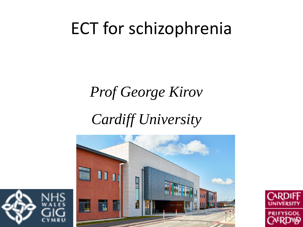## ECT for schizophrenia

#### *Prof George Kirov*

#### *Cardiff University*





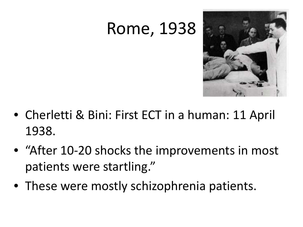### Rome, 1938



- Cherletti & Bini: First ECT in a human: 11 April 1938.
- "After 10-20 shocks the improvements in most patients were startling."
- These were mostly schizophrenia patients.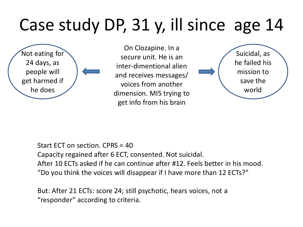# Case study DP, 31 y, ill since age 14

Not eating for 24 days, as people will get harmed if he does

On Clozapine. In a secure unit. He is an inter-dimentional alien and receives messages/ voices from another dimension. MI5 trying to get info from his brain



Start ECT on section. CPRS = 40 Capacity regained after 6 ECT, consented. Not suicidal. After 10 ECTs asked if he can continue after #12. Feels better in his mood. "Do you think the voices will disappear if I have more than 12 ECTs?"

But: After 21 ECTs: score 24; still psychotic, hears voices, not a "responder" according to criteria.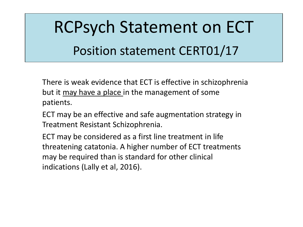# RCPsych Statement on ECT Position statement CERT01/17

There is weak evidence that ECT is effective in schizophrenia but it <u>may have a place</u> in the management of some patients.

ECT may be an effective and safe augmentation strategy in Treatment Resistant Schizophrenia.

ECT may be considered as a first line treatment in life threatening catatonia. A higher number of ECT treatments may be required than is standard for other clinical indications (Lally et al, 2016).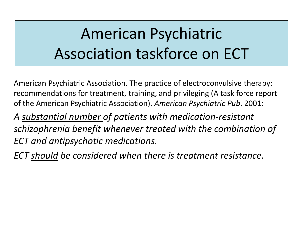### American Psychiatric Association taskforce on ECT

American Psychiatric Association. The practice of electroconvulsive therapy: recommendations for treatment, training, and privileging (A task force report of the American Psychiatric Association). *American Psychiatric Pub*. 2001:

*A substantial number of patients with medication-resistant schizophrenia benefit whenever treated with the combination of ECT and antipsychotic medications*.

*ECT should be considered when there is treatment resistance.*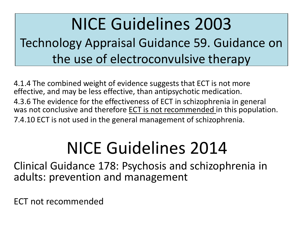#### NICE Guidelines 2003 Technology Appraisal Guidance 59. Guidance on the use of electroconvulsive therapy

4.1.4 The combined weight of evidence suggests that ECT is not more effective, and may be less effective, than antipsychotic medication. 4.3.6 The evidence for the effectiveness of ECT in schizophrenia in general was not conclusive and therefore ECT is not recommended in this population. 7.4.10 ECT is not used in the general management of schizophrenia.

# NICE Guidelines 2014

Clinical Guidance 178: Psychosis and schizophrenia in adults: prevention and management

ECT not recommended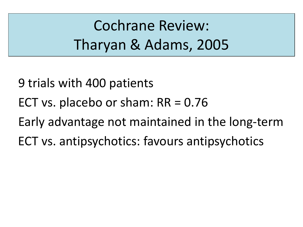Cochrane Review: Tharyan & Adams, 2005

9 trials with 400 patients

- ECT vs. placebo or sham:  $RR = 0.76$
- Early advantage not maintained in the long-term
- ECT vs. antipsychotics: favours antipsychotics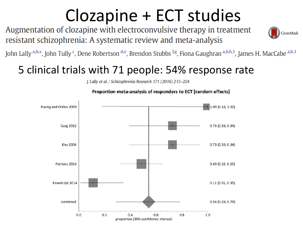# $Clozapine + ECT studies$ <br>Augmentation of clozapine with electroconvulsive therapy in treatment

resistant schizophrenia: A systematic review and meta-analysis



John Lally a,b,\*, John Tully <sup>c</sup>, Dene Robertson <sup>d,e</sup>, Brendon Stubbs <sup>f,g</sup>, Fiona Gaughran a,b,h,1, James H. MacCabe a,b,1

#### 5 clinical trials with 71 people: 54% response rate

J. Lally et al. / Schizophrenia Research 171 (2016) 215-224



Proportion meta-analysis of responders to ECT [random effects]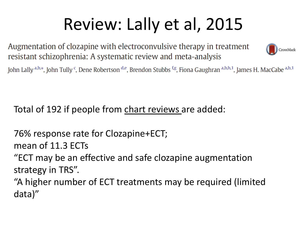# Review: Lally et al, 2015

Augmentation of clozapine with electroconvulsive therapy in treatment resistant schizophrenia: A systematic review and meta-analysis



John Lally a,b,\*, John Tully <sup>c</sup>, Dene Robertson <sup>d,e</sup>, Brendon Stubbs <sup>f,g</sup>, Fiona Gaughran a,b,h,1, James H. MacCabe a,b,1

Total of 192 if people from chart reviews are added:

76% response rate for Clozapine+ECT;

mean of 11.3 ECTs

"ECT may be an effective and safe clozapine augmentation strategy in TRS".

"A higher number of ECT treatments may be required (limited data)"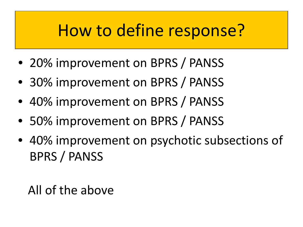### How to define response?

- 20% improvement on BPRS / PANSS
- 30% improvement on BPRS / PANSS
- 40% improvement on BPRS / PANSS
- 50% improvement on BPRS / PANSS
- 40% improvement on psychotic subsections of BPRS / PANSS

All of the above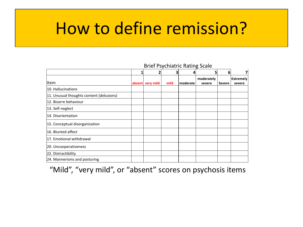#### How to define remission?

#### **1 2 3 4 5 6 7** Item **absent very mild mild moderate moderately severe Severe Extremely severe** 10. Hallucinations 11. Unusual thoughts content (delusions) 12. Bizarre behaviour 13. Self-neglect 14. Disorientation 15. Conceptual disorganization 16. Blunted affect 17. Emotional withdrawal 20. Uncooperativeness 22. Distractibility 24. Mannerisms and posturing

#### Brief Psychiatric Rating Scale

"Mild", "very mild", or "absent" scores on psychosis items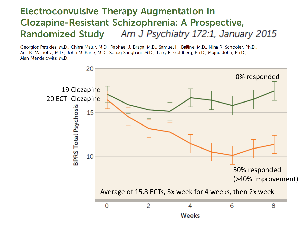#### **Electroconvulsive Therapy Augmentation in Clozapine-Resistant Schizophrenia: A Prospective,** Am J Psychiatry 172:1, January 2015 **Randomized Study**

Georgios Petrides, M.D., Chitra Malur, M.D., Raphael J. Braga, M.D., Samuel H. Bailine, M.D., Nina R. Schooler, Ph.D., Anil K. Malhotra, M.D., John M. Kane, M.D., Sohag Sanghani, M.D., Terry E. Goldberg, Ph.D., Majnu John, Ph.D., Alan Mendelowitz, M.D.

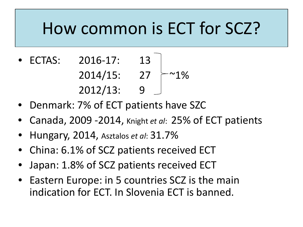### How common is ECT for SCZ?

- ECTAS: 2016-17: 13  $2014/15: 27 \;$  ~1% 2012/13: 9
- Denmark: 7% of ECT patients have SZC
- Canada, 2009 -2014, Knight *et al*: 25% of ECT patients
- Hungary, 2014, Asztalos *et al*: 31.7%
- China: 6.1% of SCZ patients received ECT
- Japan: 1.8% of SCZ patients received ECT
- Eastern Europe: in 5 countries SCZ is the main indication for ECT. In Slovenia ECT is banned.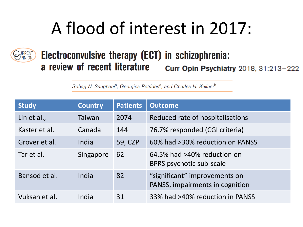# A flood of interest in 2017:



#### Electroconvulsive therapy (ECT) in schizophrenia: a review of recent literature Curr Opin Psychiatry 2018, 31:213-222

Sohag N. Sanghani<sup>a</sup>, Georgios Petrides<sup>a</sup>, and Charles H. Kellner<sup>b</sup>

| <b>Study</b>  | <b>Country</b> | <b>Patients</b> | <b>Outcome</b>                                                   |  |
|---------------|----------------|-----------------|------------------------------------------------------------------|--|
| Lin et al.,   | Taiwan         | 2074            | Reduced rate of hospitalisations                                 |  |
| Kaster et al. | Canada         | 144             | 76.7% responded (CGI criteria)                                   |  |
| Grover et al. | India          | 59, CZP         | 60% had >30% reduction on PANSS                                  |  |
| Tar et al.    | Singapore      | 62              | 64.5% had >40% reduction on<br>BPRS psychotic sub-scale          |  |
| Bansod et al. | India          | 82              | "significant" improvements on<br>PANSS, impairments in cognition |  |
| Vuksan et al. | India          | 31              | 33% had >40% reduction in PANSS                                  |  |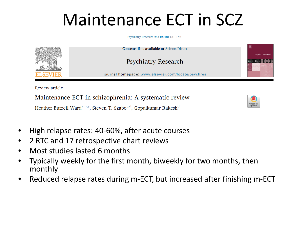# Maintenance ECT in SCZ

Psychiatry Research 264 (2018) 131-142



Maintenance ECT in schizophrenia: A systematic review Heather Burrell Ward<sup>a,b,\*</sup>, Steven T. Szabo<sup>c,d</sup>, Gopalkumar Rakesh<sup>d</sup>



- High relapse rates: 40-60%, after acute courses
- 2 RTC and 17 retrospective chart reviews
- Most studies lasted 6 months
- Typically weekly for the first month, biweekly for two months, then monthly
- Reduced relapse rates during m-ECT, but increased after finishing m-ECT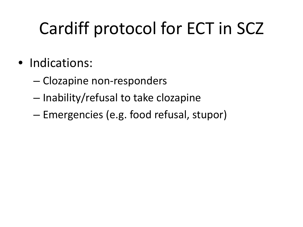# Cardiff protocol for ECT in SCZ

- Indications:
	- Clozapine non-responders
	- Inability/refusal to take clozapine
	- Emergencies (e.g. food refusal, stupor)